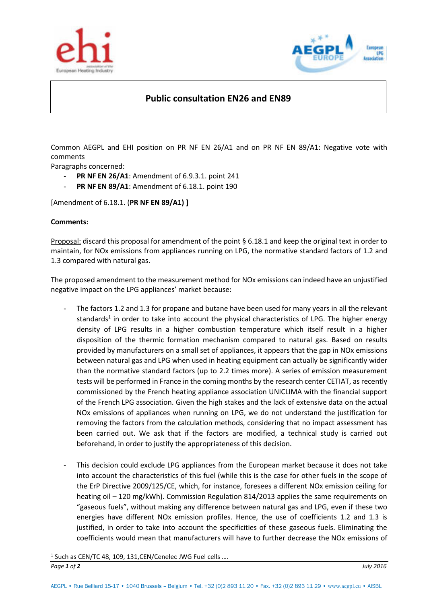



## **Public consultation EN26 and EN89**

Common AEGPL and EHI position on PR NF EN 26/A1 and on PR NF EN 89/A1: Negative vote with comments

Paragraphs concerned:

- **PR NF EN 26/A1**: Amendment of 6.9.3.1. point 241
- **PR NF EN 89/A1:** Amendment of 6.18.1. point 190

[Amendment of 6.18.1. (**PR NF EN 89/A1) ]** 

## **Comments:**

 $\overline{a}$ 

Proposal: discard this proposal for amendment of the point § 6.18.1 and keep the original text in order to maintain, for NOx emissions from appliances running on LPG, the normative standard factors of 1.2 and 1.3 compared with natural gas.

The proposed amendment to the measurement method for NOx emissions can indeed have an unjustified negative impact on the LPG appliances' market because:

- The factors 1.2 and 1.3 for propane and butane have been used for many years in all the relevant standards<sup>1</sup> in order to take into account the physical characteristics of LPG. The higher energy density of LPG results in a higher combustion temperature which itself result in a higher disposition of the thermic formation mechanism compared to natural gas. Based on results provided by manufacturers on a small set of appliances, it appears that the gap in NOx emissions between natural gas and LPG when used in heating equipment can actually be significantly wider than the normative standard factors (up to 2.2 times more). A series of emission measurement tests will be performed in France in the coming months by the research center CETIAT, as recently commissioned by the French heating appliance association UNICLIMA with the financial support of the French LPG association. Given the high stakes and the lack of extensive data on the actual NOx emissions of appliances when running on LPG, we do not understand the justification for removing the factors from the calculation methods, considering that no impact assessment has been carried out. We ask that if the factors are modified, a technical study is carried out beforehand, in order to justify the appropriateness of this decision.
- This decision could exclude LPG appliances from the European market because it does not take into account the characteristics of this fuel (while this is the case for other fuels in the scope of the ErP Directive 2009/125/CE, which, for instance, foresees a different NOx emission ceiling for heating oil – 120 mg/kWh). Commission Regulation 814/2013 applies the same requirements on "gaseous fuels", without making any difference between natural gas and LPG, even if these two energies have different NOx emission profiles. Hence, the use of coefficients 1.2 and 1.3 is justified, in order to take into account the specificities of these gaseous fuels. Eliminating the coefficients would mean that manufacturers will have to further decrease the NOx emissions of

*Page 1 of 2 July 2016*  $1$  Such as CEN/TC 48, 109, 131, CEN/Cenelec JWG Fuel cells ....